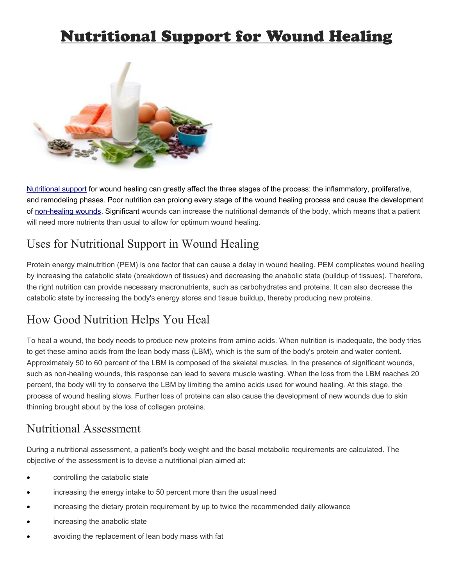# Nutritional Support for Wound Healing



[Nutritional support](http://www.woundcarecenters.org/living-with-wounds/how-your-diet-can-aid-in-wound-healing.html) for wound healing can greatly affect the three stages of the process: the inflammatory, proliferative, and remodeling phases. Poor nutrition can prolong every stage of the wound healing process and cause the development of [non-healing wounds.](http://www.woundcarecenters.org/wound-types/nonhealing-surgical-wounds.html) Significant wounds can increase the nutritional demands of the body, which means that a patient will need more nutrients than usual to allow for optimum wound healing.

## Uses for Nutritional Support in Wound Healing

Protein energy malnutrition (PEM) is one factor that can cause a delay in wound healing. PEM complicates wound healing by increasing the catabolic state (breakdown of tissues) and decreasing the anabolic state (buildup of tissues). Therefore, the right nutrition can provide necessary macronutrients, such as carbohydrates and proteins. It can also decrease the catabolic state by increasing the body's energy stores and tissue buildup, thereby producing new proteins.

## How Good Nutrition Helps You Heal

To heal a wound, the body needs to produce new proteins from amino acids. When nutrition is inadequate, the body tries to get these amino acids from the lean body mass (LBM), which is the sum of the body's protein and water content. Approximately 50 to 60 percent of the LBM is composed of the skeletal muscles. In the presence of significant wounds, such as non-healing wounds, this response can lead to severe muscle wasting. When the loss from the LBM reaches 20 percent, the body will try to conserve the LBM by limiting the amino acids used for wound healing. At this stage, the process of wound healing slows. Further loss of proteins can also cause the development of new wounds due to skin thinning brought about by the loss of collagen proteins.

#### Nutritional Assessment

During a nutritional assessment, a patient's body weight and the basal metabolic requirements are calculated. The objective of the assessment is to devise a nutritional plan aimed at:

- controlling the catabolic state
- increasing the energy intake to 50 percent more than the usual need
- increasing the dietary protein requirement by up to twice the recommended daily allowance
- increasing the anabolic state
- avoiding the replacement of lean body mass with fat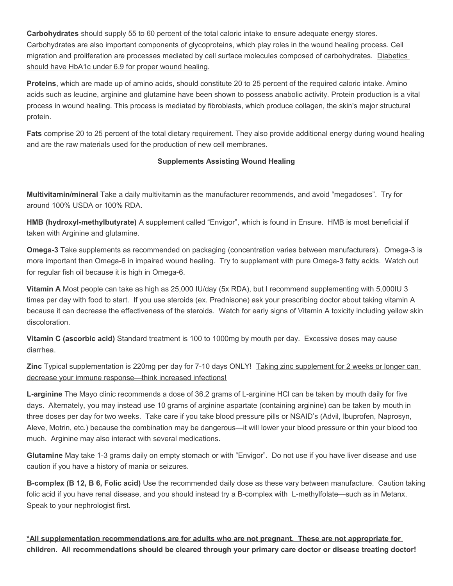**Carbohydrates** should supply 55 to 60 percent of the total caloric intake to ensure adequate energy stores. Carbohydrates are also important components of glycoproteins, which play roles in the wound healing process. Cell migration and proliferation are processes mediated by cell surface molecules composed of carbohydrates. Diabetics should have HbA1c under 6.9 for proper wound healing.

**Proteins**, which are made up of amino acids, should constitute 20 to 25 percent of the required caloric intake. Amino acids such as leucine, arginine and glutamine have been shown to possess anabolic activity. Protein production is a vital process in wound healing. This process is mediated by fibroblasts, which produce collagen, the skin's major structural protein.

**Fats** comprise 20 to 25 percent of the total dietary requirement. They also provide additional energy during wound healing and are the raw materials used for the production of new cell membranes.

#### **Supplements Assisting Wound Healing**

**Multivitamin/mineral** Take a daily multivitamin as the manufacturer recommends, and avoid "megadoses". Try for around 100% USDA or 100% RDA.

**HMB (hydroxyl-methylbutyrate)** A supplement called "Envigor", which is found in Ensure. HMB is most beneficial if taken with Arginine and glutamine.

**Omega-3** Take supplements as recommended on packaging (concentration varies between manufacturers). Omega-3 is more important than Omega-6 in impaired wound healing. Try to supplement with pure Omega-3 fatty acids. Watch out for regular fish oil because it is high in Omega-6.

**Vitamin A** Most people can take as high as 25,000 IU/day (5x RDA), but I recommend supplementing with 5,000IU 3 times per day with food to start. If you use steroids (ex. Prednisone) ask your prescribing doctor about taking vitamin A because it can decrease the effectiveness of the steroids. Watch for early signs of Vitamin A toxicity including yellow skin discoloration.

**Vitamin C (ascorbic acid)** Standard treatment is 100 to 1000mg by mouth per day. Excessive doses may cause diarrhea.

**Zinc** Typical supplementation is 220mg per day for 7-10 days ONLY! Taking zinc supplement for 2 weeks or longer can decrease your immune response—think increased infections!

**L-arginine** The Mayo clinic recommends a dose of 36.2 grams of L-arginine HCl can be taken by mouth daily for five days. Alternately, you may instead use 10 grams of arginine aspartate (containing arginine) can be taken by mouth in three doses per day for two weeks. Take care if you take blood pressure pills or NSAID's (Advil, Ibuprofen, Naprosyn, Aleve, Motrin, etc.) because the combination may be dangerous—it will lower your blood pressure or thin your blood too much. Arginine may also interact with several medications.

**Glutamine** May take 1-3 grams daily on empty stomach or with "Envigor". Do not use if you have liver disease and use caution if you have a history of mania or seizures.

**B-complex (B 12, B 6, Folic acid)** Use the recommended daily dose as these vary between manufacture. Caution taking folic acid if you have renal disease, and you should instead try a B-complex with L-methylfolate—such as in Metanx. Speak to your nephrologist first.

**\*All supplementation recommendations are for adults who are not pregnant. These are not appropriate for children. All recommendations should be cleared through your primary care doctor or disease treating doctor!**